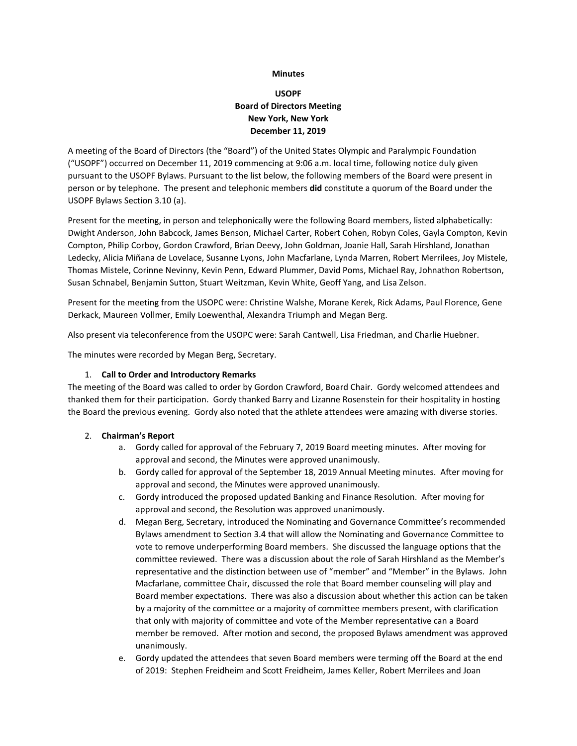#### **Minutes**

# **USOPF Board of Directors Meeting New York, New York December 11, 2019**

A meeting of the Board of Directors (the "Board") of the United States Olympic and Paralympic Foundation ("USOPF") occurred on December 11, 2019 commencing at 9:06 a.m. local time, following notice duly given pursuant to the USOPF Bylaws. Pursuant to the list below, the following members of the Board were present in person or by telephone. The present and telephonic members **did** constitute a quorum of the Board under the USOPF Bylaws Section 3.10 (a).

Present for the meeting, in person and telephonically were the following Board members, listed alphabetically: Dwight Anderson, John Babcock, James Benson, Michael Carter, Robert Cohen, Robyn Coles, Gayla Compton, Kevin Compton, Philip Corboy, Gordon Crawford, Brian Deevy, John Goldman, Joanie Hall, Sarah Hirshland, Jonathan Ledecky, Alicia Miñana de Lovelace, Susanne Lyons, John Macfarlane, Lynda Marren, Robert Merrilees, Joy Mistele, Thomas Mistele, Corinne Nevinny, Kevin Penn, Edward Plummer, David Poms, Michael Ray, Johnathon Robertson, Susan Schnabel, Benjamin Sutton, Stuart Weitzman, Kevin White, Geoff Yang, and Lisa Zelson.

Present for the meeting from the USOPC were: Christine Walshe, Morane Kerek, Rick Adams, Paul Florence, Gene Derkack, Maureen Vollmer, Emily Loewenthal, Alexandra Triumph and Megan Berg.

Also present via teleconference from the USOPC were: Sarah Cantwell, Lisa Friedman, and Charlie Huebner.

The minutes were recorded by Megan Berg, Secretary.

#### 1. **Call to Order and Introductory Remarks**

The meeting of the Board was called to order by Gordon Crawford, Board Chair. Gordy welcomed attendees and thanked them for their participation. Gordy thanked Barry and Lizanne Rosenstein for their hospitality in hosting the Board the previous evening. Gordy also noted that the athlete attendees were amazing with diverse stories.

### 2. **Chairman's Report**

- a. Gordy called for approval of the February 7, 2019 Board meeting minutes. After moving for approval and second, the Minutes were approved unanimously.
- b. Gordy called for approval of the September 18, 2019 Annual Meeting minutes. After moving for approval and second, the Minutes were approved unanimously.
- c. Gordy introduced the proposed updated Banking and Finance Resolution. After moving for approval and second, the Resolution was approved unanimously.
- d. Megan Berg, Secretary, introduced the Nominating and Governance Committee's recommended Bylaws amendment to Section 3.4 that will allow the Nominating and Governance Committee to vote to remove underperforming Board members. She discussed the language options that the committee reviewed. There was a discussion about the role of Sarah Hirshland as the Member's representative and the distinction between use of "member" and "Member" in the Bylaws. John Macfarlane, committee Chair, discussed the role that Board member counseling will play and Board member expectations. There was also a discussion about whether this action can be taken by a majority of the committee or a majority of committee members present, with clarification that only with majority of committee and vote of the Member representative can a Board member be removed. After motion and second, the proposed Bylaws amendment was approved unanimously.
- e. Gordy updated the attendees that seven Board members were terming off the Board at the end of 2019: Stephen Freidheim and Scott Freidheim, James Keller, Robert Merrilees and Joan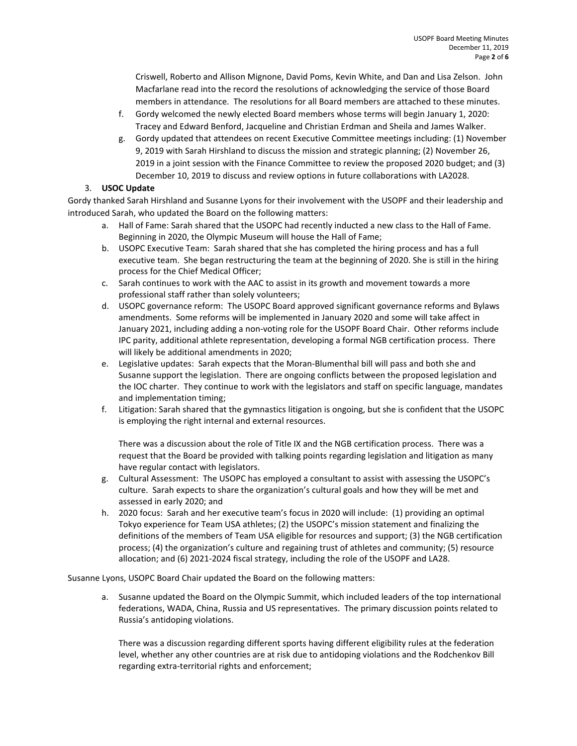Criswell, Roberto and Allison Mignone, David Poms, Kevin White, and Dan and Lisa Zelson. John Macfarlane read into the record the resolutions of acknowledging the service of those Board members in attendance. The resolutions for all Board members are attached to these minutes.

- f. Gordy welcomed the newly elected Board members whose terms will begin January 1, 2020: Tracey and Edward Benford, Jacqueline and Christian Erdman and Sheila and James Walker.
- g. Gordy updated that attendees on recent Executive Committee meetings including: (1) November 9, 2019 with Sarah Hirshland to discuss the mission and strategic planning; (2) November 26, 2019 in a joint session with the Finance Committee to review the proposed 2020 budget; and (3) December 10, 2019 to discuss and review options in future collaborations with LA2028.

## 3. **USOC Update**

Gordy thanked Sarah Hirshland and Susanne Lyons for their involvement with the USOPF and their leadership and introduced Sarah, who updated the Board on the following matters:

- a. Hall of Fame: Sarah shared that the USOPC had recently inducted a new class to the Hall of Fame. Beginning in 2020, the Olympic Museum will house the Hall of Fame;
- b. USOPC Executive Team: Sarah shared that she has completed the hiring process and has a full executive team. She began restructuring the team at the beginning of 2020. She is still in the hiring process for the Chief Medical Officer;
- c. Sarah continues to work with the AAC to assist in its growth and movement towards a more professional staff rather than solely volunteers;
- d. USOPC governance reform: The USOPC Board approved significant governance reforms and Bylaws amendments. Some reforms will be implemented in January 2020 and some will take affect in January 2021, including adding a non-voting role for the USOPF Board Chair. Other reforms include IPC parity, additional athlete representation, developing a formal NGB certification process. There will likely be additional amendments in 2020;
- e. Legislative updates: Sarah expects that the Moran-Blumenthal bill will pass and both she and Susanne support the legislation. There are ongoing conflicts between the proposed legislation and the IOC charter. They continue to work with the legislators and staff on specific language, mandates and implementation timing;
- f. Litigation: Sarah shared that the gymnastics litigation is ongoing, but she is confident that the USOPC is employing the right internal and external resources.

There was a discussion about the role of Title IX and the NGB certification process. There was a request that the Board be provided with talking points regarding legislation and litigation as many have regular contact with legislators.

- g. Cultural Assessment: The USOPC has employed a consultant to assist with assessing the USOPC's culture. Sarah expects to share the organization's cultural goals and how they will be met and assessed in early 2020; and
- h. 2020 focus: Sarah and her executive team's focus in 2020 will include: (1) providing an optimal Tokyo experience for Team USA athletes; (2) the USOPC's mission statement and finalizing the definitions of the members of Team USA eligible for resources and support; (3) the NGB certification process; (4) the organization's culture and regaining trust of athletes and community; (5) resource allocation; and (6) 2021-2024 fiscal strategy, including the role of the USOPF and LA28.

Susanne Lyons, USOPC Board Chair updated the Board on the following matters:

a. Susanne updated the Board on the Olympic Summit, which included leaders of the top international federations, WADA, China, Russia and US representatives. The primary discussion points related to Russia's antidoping violations.

There was a discussion regarding different sports having different eligibility rules at the federation level, whether any other countries are at risk due to antidoping violations and the Rodchenkov Bill regarding extra-territorial rights and enforcement;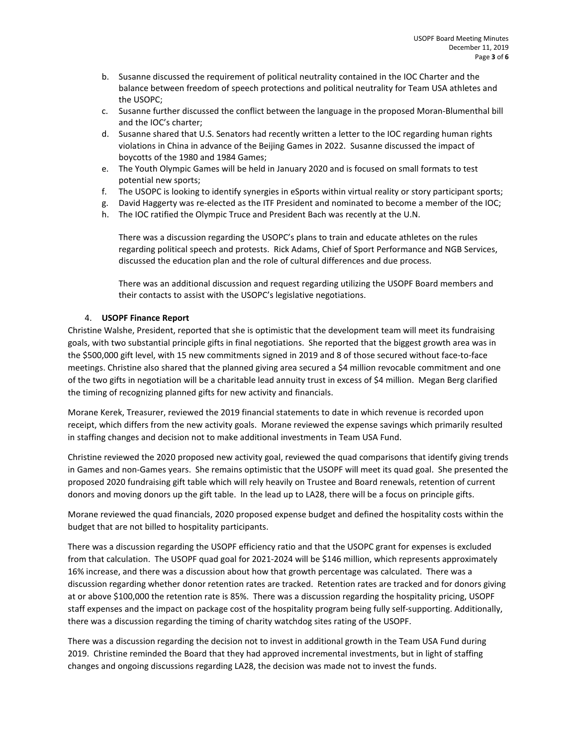- b. Susanne discussed the requirement of political neutrality contained in the IOC Charter and the balance between freedom of speech protections and political neutrality for Team USA athletes and the USOPC;
- c. Susanne further discussed the conflict between the language in the proposed Moran-Blumenthal bill and the IOC's charter;
- d. Susanne shared that U.S. Senators had recently written a letter to the IOC regarding human rights violations in China in advance of the Beijing Games in 2022. Susanne discussed the impact of boycotts of the 1980 and 1984 Games;
- e. The Youth Olympic Games will be held in January 2020 and is focused on small formats to test potential new sports;
- f. The USOPC is looking to identify synergies in eSports within virtual reality or story participant sports;
- g. David Haggerty was re-elected as the ITF President and nominated to become a member of the IOC;
- h. The IOC ratified the Olympic Truce and President Bach was recently at the U.N.

There was a discussion regarding the USOPC's plans to train and educate athletes on the rules regarding political speech and protests. Rick Adams, Chief of Sport Performance and NGB Services, discussed the education plan and the role of cultural differences and due process.

There was an additional discussion and request regarding utilizing the USOPF Board members and their contacts to assist with the USOPC's legislative negotiations.

### 4. **USOPF Finance Report**

Christine Walshe, President, reported that she is optimistic that the development team will meet its fundraising goals, with two substantial principle gifts in final negotiations. She reported that the biggest growth area was in the \$500,000 gift level, with 15 new commitments signed in 2019 and 8 of those secured without face-to-face meetings. Christine also shared that the planned giving area secured a \$4 million revocable commitment and one of the two gifts in negotiation will be a charitable lead annuity trust in excess of \$4 million. Megan Berg clarified the timing of recognizing planned gifts for new activity and financials.

Morane Kerek, Treasurer, reviewed the 2019 financial statements to date in which revenue is recorded upon receipt, which differs from the new activity goals. Morane reviewed the expense savings which primarily resulted in staffing changes and decision not to make additional investments in Team USA Fund.

Christine reviewed the 2020 proposed new activity goal, reviewed the quad comparisons that identify giving trends in Games and non-Games years. She remains optimistic that the USOPF will meet its quad goal. She presented the proposed 2020 fundraising gift table which will rely heavily on Trustee and Board renewals, retention of current donors and moving donors up the gift table. In the lead up to LA28, there will be a focus on principle gifts.

Morane reviewed the quad financials, 2020 proposed expense budget and defined the hospitality costs within the budget that are not billed to hospitality participants.

There was a discussion regarding the USOPF efficiency ratio and that the USOPC grant for expenses is excluded from that calculation. The USOPF quad goal for 2021-2024 will be \$146 million, which represents approximately 16% increase, and there was a discussion about how that growth percentage was calculated. There was a discussion regarding whether donor retention rates are tracked. Retention rates are tracked and for donors giving at or above \$100,000 the retention rate is 85%. There was a discussion regarding the hospitality pricing, USOPF staff expenses and the impact on package cost of the hospitality program being fully self-supporting. Additionally, there was a discussion regarding the timing of charity watchdog sites rating of the USOPF.

There was a discussion regarding the decision not to invest in additional growth in the Team USA Fund during 2019. Christine reminded the Board that they had approved incremental investments, but in light of staffing changes and ongoing discussions regarding LA28, the decision was made not to invest the funds.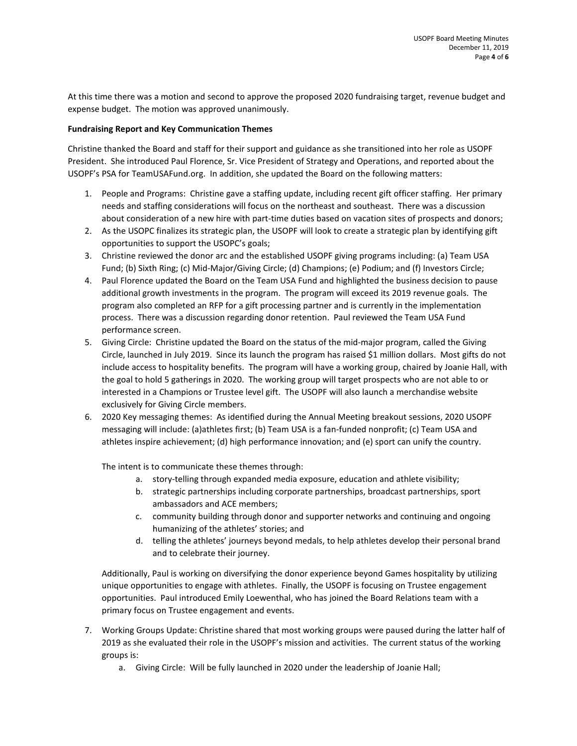At this time there was a motion and second to approve the proposed 2020 fundraising target, revenue budget and expense budget. The motion was approved unanimously.

#### **Fundraising Report and Key Communication Themes**

Christine thanked the Board and staff for their support and guidance as she transitioned into her role as USOPF President. She introduced Paul Florence, Sr. Vice President of Strategy and Operations, and reported about the USOPF's PSA for TeamUSAFund.org. In addition, she updated the Board on the following matters:

- 1. People and Programs: Christine gave a staffing update, including recent gift officer staffing. Her primary needs and staffing considerations will focus on the northeast and southeast. There was a discussion about consideration of a new hire with part-time duties based on vacation sites of prospects and donors;
- 2. As the USOPC finalizes its strategic plan, the USOPF will look to create a strategic plan by identifying gift opportunities to support the USOPC's goals;
- 3. Christine reviewed the donor arc and the established USOPF giving programs including: (a) Team USA Fund; (b) Sixth Ring; (c) Mid-Major/Giving Circle; (d) Champions; (e) Podium; and (f) Investors Circle;
- 4. Paul Florence updated the Board on the Team USA Fund and highlighted the business decision to pause additional growth investments in the program. The program will exceed its 2019 revenue goals. The program also completed an RFP for a gift processing partner and is currently in the implementation process. There was a discussion regarding donor retention. Paul reviewed the Team USA Fund performance screen.
- 5. Giving Circle: Christine updated the Board on the status of the mid-major program, called the Giving Circle, launched in July 2019. Since its launch the program has raised \$1 million dollars. Most gifts do not include access to hospitality benefits. The program will have a working group, chaired by Joanie Hall, with the goal to hold 5 gatherings in 2020. The working group will target prospects who are not able to or interested in a Champions or Trustee level gift. The USOPF will also launch a merchandise website exclusively for Giving Circle members.
- 6. 2020 Key messaging themes: As identified during the Annual Meeting breakout sessions, 2020 USOPF messaging will include: (a)athletes first; (b) Team USA is a fan-funded nonprofit; (c) Team USA and athletes inspire achievement; (d) high performance innovation; and (e) sport can unify the country.

The intent is to communicate these themes through:

- a. story-telling through expanded media exposure, education and athlete visibility;
- b. strategic partnerships including corporate partnerships, broadcast partnerships, sport ambassadors and ACE members;
- c. community building through donor and supporter networks and continuing and ongoing humanizing of the athletes' stories; and
- d. telling the athletes' journeys beyond medals, to help athletes develop their personal brand and to celebrate their journey.

Additionally, Paul is working on diversifying the donor experience beyond Games hospitality by utilizing unique opportunities to engage with athletes. Finally, the USOPF is focusing on Trustee engagement opportunities. Paul introduced Emily Loewenthal, who has joined the Board Relations team with a primary focus on Trustee engagement and events.

- 7. Working Groups Update: Christine shared that most working groups were paused during the latter half of 2019 as she evaluated their role in the USOPF's mission and activities. The current status of the working groups is:
	- a. Giving Circle: Will be fully launched in 2020 under the leadership of Joanie Hall;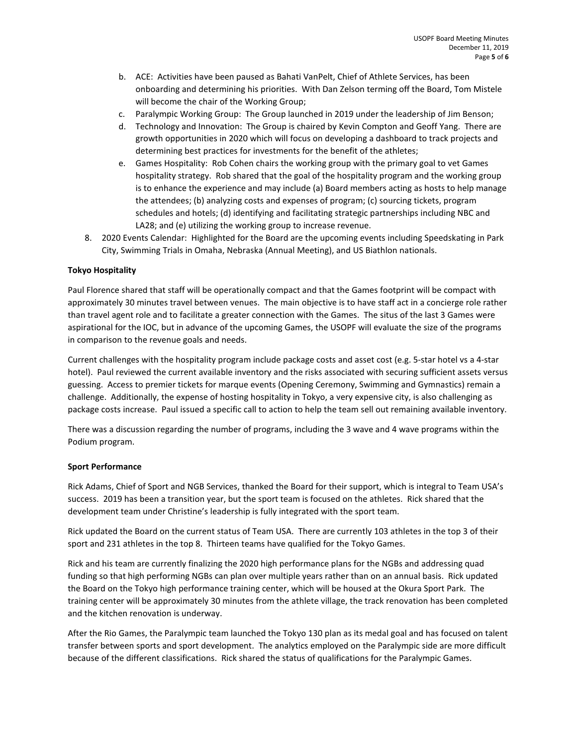- b. ACE: Activities have been paused as Bahati VanPelt, Chief of Athlete Services, has been onboarding and determining his priorities. With Dan Zelson terming off the Board, Tom Mistele will become the chair of the Working Group;
- c. Paralympic Working Group: The Group launched in 2019 under the leadership of Jim Benson;
- d. Technology and Innovation: The Group is chaired by Kevin Compton and Geoff Yang. There are growth opportunities in 2020 which will focus on developing a dashboard to track projects and determining best practices for investments for the benefit of the athletes;
- e. Games Hospitality: Rob Cohen chairs the working group with the primary goal to vet Games hospitality strategy. Rob shared that the goal of the hospitality program and the working group is to enhance the experience and may include (a) Board members acting as hosts to help manage the attendees; (b) analyzing costs and expenses of program; (c) sourcing tickets, program schedules and hotels; (d) identifying and facilitating strategic partnerships including NBC and LA28; and (e) utilizing the working group to increase revenue.
- 8. 2020 Events Calendar: Highlighted for the Board are the upcoming events including Speedskating in Park City, Swimming Trials in Omaha, Nebraska (Annual Meeting), and US Biathlon nationals.

### **Tokyo Hospitality**

Paul Florence shared that staff will be operationally compact and that the Games footprint will be compact with approximately 30 minutes travel between venues. The main objective is to have staff act in a concierge role rather than travel agent role and to facilitate a greater connection with the Games. The situs of the last 3 Games were aspirational for the IOC, but in advance of the upcoming Games, the USOPF will evaluate the size of the programs in comparison to the revenue goals and needs.

Current challenges with the hospitality program include package costs and asset cost (e.g. 5-star hotel vs a 4-star hotel). Paul reviewed the current available inventory and the risks associated with securing sufficient assets versus guessing. Access to premier tickets for marque events (Opening Ceremony, Swimming and Gymnastics) remain a challenge. Additionally, the expense of hosting hospitality in Tokyo, a very expensive city, is also challenging as package costs increase. Paul issued a specific call to action to help the team sell out remaining available inventory.

There was a discussion regarding the number of programs, including the 3 wave and 4 wave programs within the Podium program.

### **Sport Performance**

Rick Adams, Chief of Sport and NGB Services, thanked the Board for their support, which is integral to Team USA's success. 2019 has been a transition year, but the sport team is focused on the athletes. Rick shared that the development team under Christine's leadership is fully integrated with the sport team.

Rick updated the Board on the current status of Team USA. There are currently 103 athletes in the top 3 of their sport and 231 athletes in the top 8. Thirteen teams have qualified for the Tokyo Games.

Rick and his team are currently finalizing the 2020 high performance plans for the NGBs and addressing quad funding so that high performing NGBs can plan over multiple years rather than on an annual basis. Rick updated the Board on the Tokyo high performance training center, which will be housed at the Okura Sport Park. The training center will be approximately 30 minutes from the athlete village, the track renovation has been completed and the kitchen renovation is underway.

After the Rio Games, the Paralympic team launched the Tokyo 130 plan as its medal goal and has focused on talent transfer between sports and sport development. The analytics employed on the Paralympic side are more difficult because of the different classifications. Rick shared the status of qualifications for the Paralympic Games.